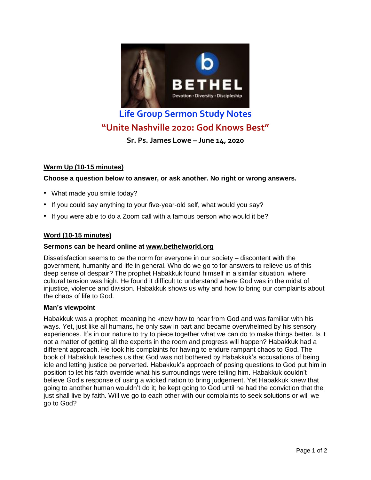

# **Life Group Sermon Study Notes "Unite Nashville 2020: God Knows Best"**

**Sr. Ps. James Lowe – June 14, 2020**

## **Warm Up (10-15 minutes)**

**Choose a question below to answer, or ask another. No right or wrong answers.**

- What made you smile today?
- If you could say anything to your five-year-old self, what would you say?
- If you were able to do a Zoom call with a famous person who would it be?

## **Word (10-15 minutes)**

## **Sermons can be heard online at [www.bethelworld.org](http://www.bethelworld.org/)**

Dissatisfaction seems to be the norm for everyone in our society – discontent with the government, humanity and life in general. Who do we go to for answers to relieve us of this deep sense of despair? The prophet Habakkuk found himself in a similar situation, where cultural tension was high. He found it difficult to understand where God was in the midst of injustice, violence and division. Habakkuk shows us why and how to bring our complaints about the chaos of life to God.

#### **Man's viewpoint**

Habakkuk was a prophet; meaning he knew how to hear from God and was familiar with his ways. Yet, just like all humans, he only saw in part and became overwhelmed by his sensory experiences. It's in our nature to try to piece together what we can do to make things better. Is it not a matter of getting all the experts in the room and progress will happen? Habakkuk had a different approach. He took his complaints for having to endure rampant chaos to God. The book of Habakkuk teaches us that God was not bothered by Habakkuk's accusations of being idle and letting justice be perverted. Habakkuk's approach of posing questions to God put him in position to let his faith override what his surroundings were telling him. Habakkuk couldn't believe God's response of using a wicked nation to bring judgement. Yet Habakkuk knew that going to another human wouldn't do it; he kept going to God until he had the conviction that the just shall live by faith. Will we go to each other with our complaints to seek solutions or will we go to God?